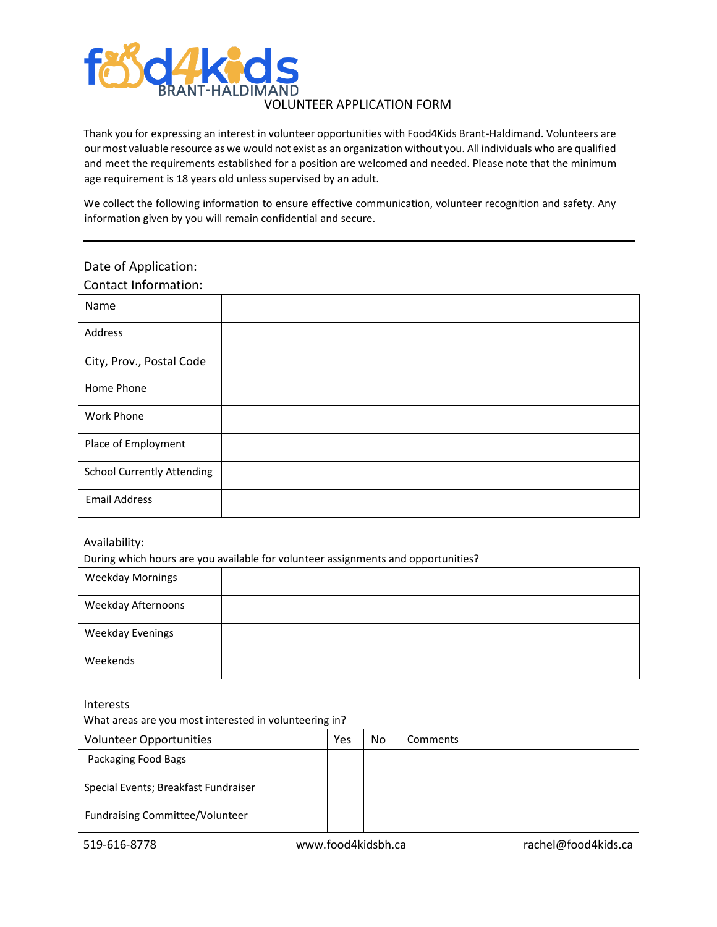

### VOLUNTEER APPLICATION FORM

Thank you for expressing an interest in volunteer opportunities with Food4Kids Brant-Haldimand. Volunteers are our most valuable resource as we would not exist as an organization without you. All individuals who are qualified and meet the requirements established for a position are welcomed and needed. Please note that the minimum age requirement is 18 years old unless supervised by an adult.

We collect the following information to ensure effective communication, volunteer recognition and safety. Any information given by you will remain confidential and secure.

### Date of Application:

Contact Information:

| Name                              |  |
|-----------------------------------|--|
| Address                           |  |
| City, Prov., Postal Code          |  |
| Home Phone                        |  |
| Work Phone                        |  |
| Place of Employment               |  |
| <b>School Currently Attending</b> |  |
| <b>Email Address</b>              |  |

#### Availability:

During which hours are you available for volunteer assignments and opportunities?

| <b>Weekday Mornings</b>   |  |
|---------------------------|--|
| <b>Weekday Afternoons</b> |  |
| <b>Weekday Evenings</b>   |  |
| Weekends                  |  |

Interests

What areas are you most interested in volunteering in?

| <b>Volunteer Opportunities</b>         | Yes | No | Comments |
|----------------------------------------|-----|----|----------|
| Packaging Food Bags                    |     |    |          |
| Special Events; Breakfast Fundraiser   |     |    |          |
| <b>Fundraising Committee/Volunteer</b> |     |    |          |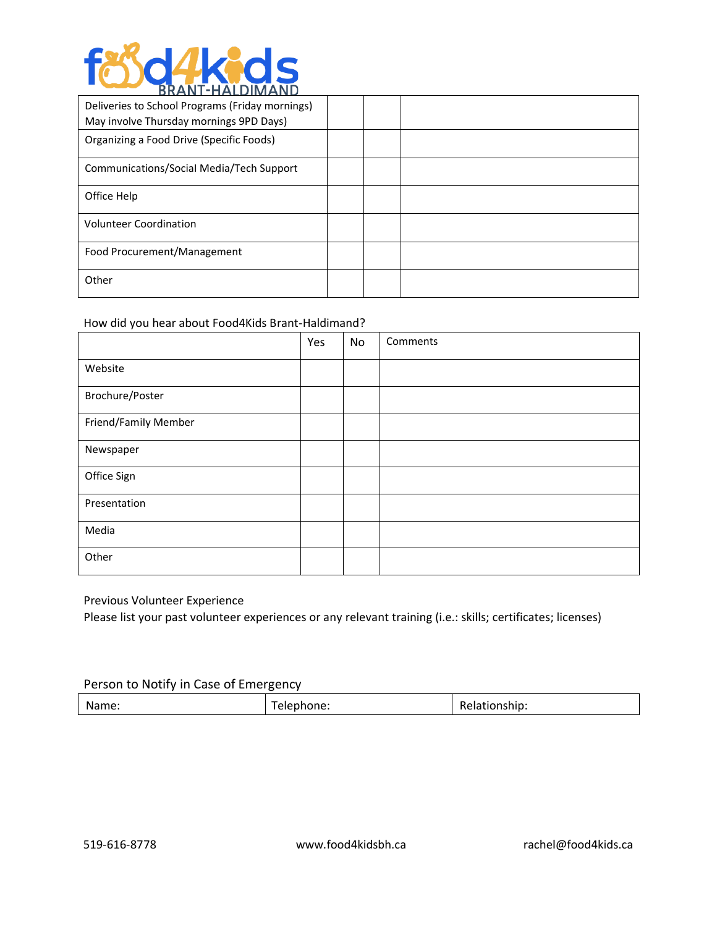

| Deliveries to School Programs (Friday mornings)<br>May involve Thursday mornings 9PD Days) |  |  |
|--------------------------------------------------------------------------------------------|--|--|
| Organizing a Food Drive (Specific Foods)                                                   |  |  |
| Communications/Social Media/Tech Support                                                   |  |  |
| Office Help                                                                                |  |  |
| <b>Volunteer Coordination</b>                                                              |  |  |
| Food Procurement/Management                                                                |  |  |
| Other                                                                                      |  |  |

# How did you hear about Food4Kids Brant-Haldimand?

|                      | Yes | No | Comments |
|----------------------|-----|----|----------|
| Website              |     |    |          |
| Brochure/Poster      |     |    |          |
| Friend/Family Member |     |    |          |
| Newspaper            |     |    |          |
| Office Sign          |     |    |          |
| Presentation         |     |    |          |
| Media                |     |    |          |
| Other                |     |    |          |

Previous Volunteer Experience

Please list your past volunteer experiences or any relevant training (i.e.: skills; certificates; licenses)

# Person to Notify in Case of Emergency

| Name:<br>phone:<br><b>ЧІЗПІР.</b><br>n H |
|------------------------------------------|
|------------------------------------------|